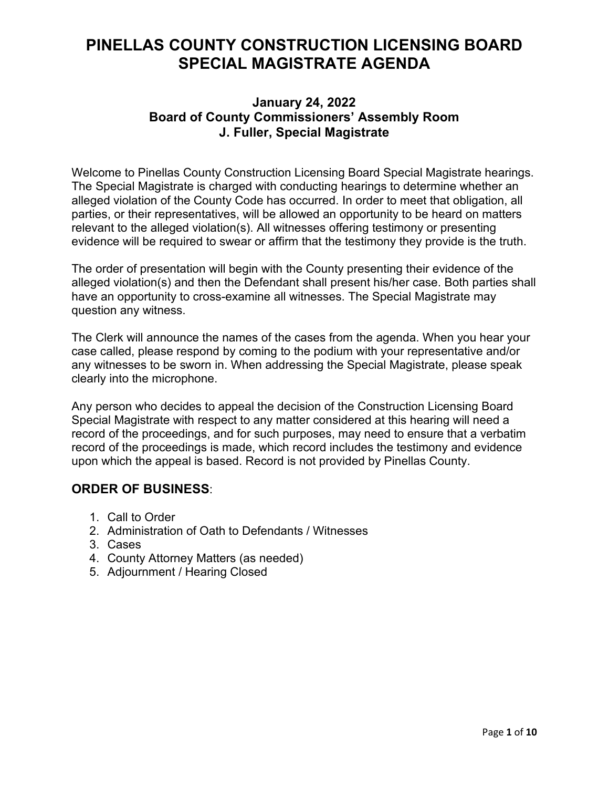# **PINELLAS COUNTY CONSTRUCTION LICENSING BOARD SPECIAL MAGISTRATE AGENDA**

### **January 24, 2022 Board of County Commissioners' Assembly Room J. Fuller, Special Magistrate**

Welcome to Pinellas County Construction Licensing Board Special Magistrate hearings. The Special Magistrate is charged with conducting hearings to determine whether an alleged violation of the County Code has occurred. In order to meet that obligation, all parties, or their representatives, will be allowed an opportunity to be heard on matters relevant to the alleged violation(s). All witnesses offering testimony or presenting evidence will be required to swear or affirm that the testimony they provide is the truth.

The order of presentation will begin with the County presenting their evidence of the alleged violation(s) and then the Defendant shall present his/her case. Both parties shall have an opportunity to cross-examine all witnesses. The Special Magistrate may question any witness.

The Clerk will announce the names of the cases from the agenda. When you hear your case called, please respond by coming to the podium with your representative and/or any witnesses to be sworn in. When addressing the Special Magistrate, please speak clearly into the microphone.

Any person who decides to appeal the decision of the Construction Licensing Board Special Magistrate with respect to any matter considered at this hearing will need a record of the proceedings, and for such purposes, may need to ensure that a verbatim record of the proceedings is made, which record includes the testimony and evidence upon which the appeal is based. Record is not provided by Pinellas County.

## **ORDER OF BUSINESS**:

- 1. Call to Order
- 2. Administration of Oath to Defendants / Witnesses
- 3. Cases
- 4. County Attorney Matters (as needed)
- 5. Adjournment / Hearing Closed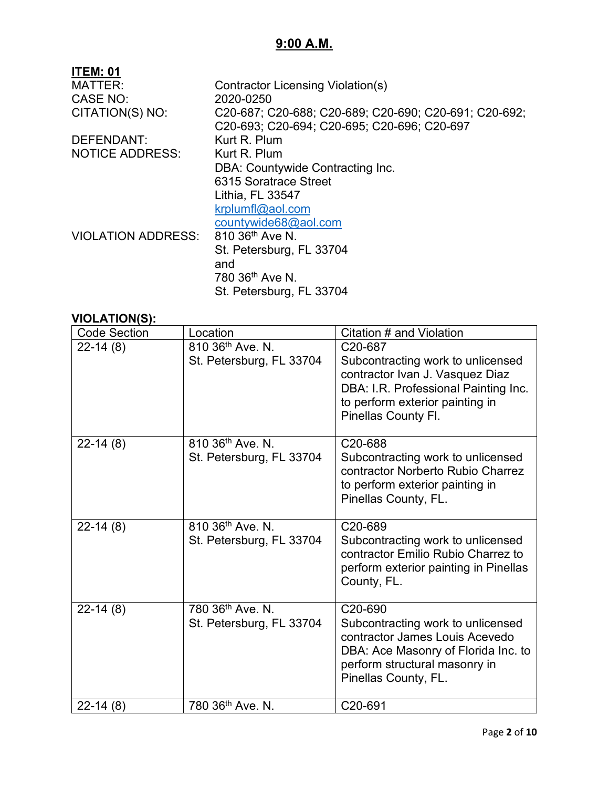## **9:00 A.M.**

| <b>ITEM: 01</b>           |                                                       |
|---------------------------|-------------------------------------------------------|
| <b>MATTER:</b>            | Contractor Licensing Violation(s)                     |
| CASE NO:                  | 2020-0250                                             |
| CITATION(S) NO:           | C20-687; C20-688; C20-689; C20-690; C20-691; C20-692; |
|                           | C20-693: C20-694: C20-695: C20-696: C20-697           |
| <b>DEFENDANT:</b>         | Kurt R. Plum                                          |
| <b>NOTICE ADDRESS:</b>    | Kurt R. Plum                                          |
|                           | DBA: Countywide Contracting Inc.                      |
|                           | 6315 Soratrace Street                                 |
|                           | Lithia, FL 33547                                      |
|                           | krplumfl@aol.com                                      |
|                           | countywide68@aol.com                                  |
| <b>VIOLATION ADDRESS:</b> | 810 36 <sup>th</sup> Ave N.                           |
|                           | St. Petersburg, FL 33704                              |
|                           | and                                                   |
|                           | 780 36 <sup>th</sup> Ave N.                           |
|                           | St. Petersburg, FL 33704                              |

| <b>Code Section</b> | Location                                     | Citation # and Violation                                                                                                                                                          |
|---------------------|----------------------------------------------|-----------------------------------------------------------------------------------------------------------------------------------------------------------------------------------|
| $22-14(8)$          | 810 36th Ave. N.<br>St. Petersburg, FL 33704 | C20-687<br>Subcontracting work to unlicensed<br>contractor Ivan J. Vasquez Diaz<br>DBA: I.R. Professional Painting Inc.<br>to perform exterior painting in<br>Pinellas County Fl. |
| $22-14(8)$          | 810 36th Ave. N.<br>St. Petersburg, FL 33704 | C20-688<br>Subcontracting work to unlicensed<br>contractor Norberto Rubio Charrez<br>to perform exterior painting in<br>Pinellas County, FL.                                      |
| $22-14(8)$          | 810 36th Ave. N.<br>St. Petersburg, FL 33704 | C20-689<br>Subcontracting work to unlicensed<br>contractor Emilio Rubio Charrez to<br>perform exterior painting in Pinellas<br>County, FL.                                        |
| $22-14(8)$          | 780 36th Ave. N.<br>St. Petersburg, FL 33704 | C20-690<br>Subcontracting work to unlicensed<br>contractor James Louis Acevedo<br>DBA: Ace Masonry of Florida Inc. to<br>perform structural masonry in<br>Pinellas County, FL.    |
| $22-14(8)$          | 780 36th Ave. N.                             | C20-691                                                                                                                                                                           |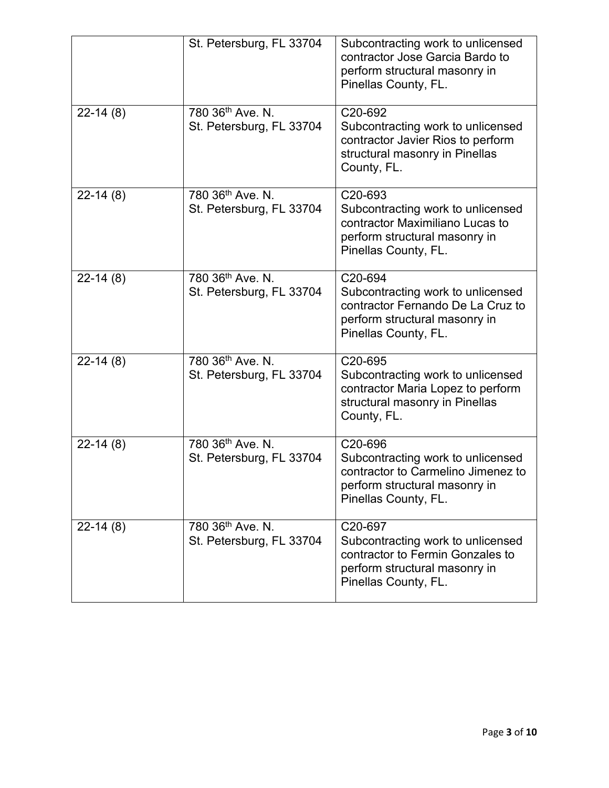|            | St. Petersburg, FL 33704                                 | Subcontracting work to unlicensed<br>contractor Jose Garcia Bardo to<br>perform structural masonry in<br>Pinellas County, FL.                            |
|------------|----------------------------------------------------------|----------------------------------------------------------------------------------------------------------------------------------------------------------|
| $22-14(8)$ | 780 36 <sup>th</sup> Ave. N.<br>St. Petersburg, FL 33704 | C <sub>20</sub> -692<br>Subcontracting work to unlicensed<br>contractor Javier Rios to perform<br>structural masonry in Pinellas<br>County, FL.          |
| $22-14(8)$ | 780 36 <sup>th</sup> Ave. N.<br>St. Petersburg, FL 33704 | C20-693<br>Subcontracting work to unlicensed<br>contractor Maximiliano Lucas to<br>perform structural masonry in<br>Pinellas County, FL.                 |
| $22-14(8)$ | 780 36th Ave. N.<br>St. Petersburg, FL 33704             | C20-694<br>Subcontracting work to unlicensed<br>contractor Fernando De La Cruz to<br>perform structural masonry in<br>Pinellas County, FL.               |
| $22-14(8)$ | 780 36th Ave. N.<br>St. Petersburg, FL 33704             | C20-695<br>Subcontracting work to unlicensed<br>contractor Maria Lopez to perform<br>structural masonry in Pinellas<br>County, FL.                       |
| $22-14(8)$ | 780 36th Ave. N.<br>St. Petersburg, FL 33704             | C <sub>20</sub> -696<br>Subcontracting work to unlicensed<br>contractor to Carmelino Jimenez to<br>perform structural masonry in<br>Pinellas County, FL. |
| $22-14(8)$ | 780 36th Ave. N.<br>St. Petersburg, FL 33704             | C20-697<br>Subcontracting work to unlicensed<br>contractor to Fermin Gonzales to<br>perform structural masonry in<br>Pinellas County, FL.                |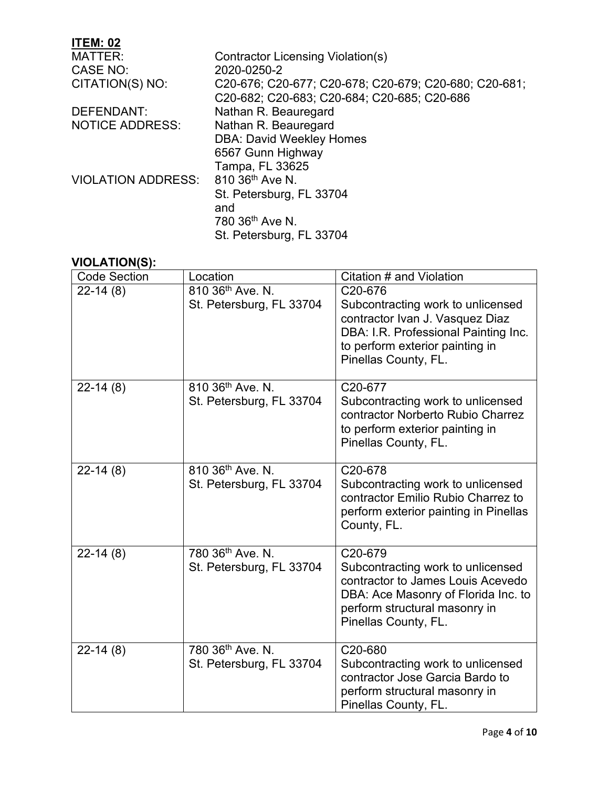| <b>ITEM: 02</b>           |                                                       |
|---------------------------|-------------------------------------------------------|
| <b>MATTER:</b>            | Contractor Licensing Violation(s)                     |
| CASE NO:                  | 2020-0250-2                                           |
| CITATION(S) NO:           | C20-676; C20-677; C20-678; C20-679; C20-680; C20-681; |
|                           | C20-682; C20-683; C20-684; C20-685; C20-686           |
| DEFENDANT:                | Nathan R. Beauregard                                  |
| <b>NOTICE ADDRESS:</b>    | Nathan R. Beauregard                                  |
|                           | <b>DBA: David Weekley Homes</b>                       |
|                           | 6567 Gunn Highway                                     |
|                           | Tampa, FL 33625                                       |
| <b>VIOLATION ADDRESS:</b> | 810 36th Ave N.                                       |
|                           | St. Petersburg, FL 33704                              |
|                           | and                                                   |
|                           | 780 36 <sup>th</sup> Ave N.                           |
|                           | St. Petersburg, FL 33704                              |

| <b>Code Section</b> | Location                     | Citation # and Violation                                                                                                                                                |
|---------------------|------------------------------|-------------------------------------------------------------------------------------------------------------------------------------------------------------------------|
| $22-14(8)$          | 810 36th Ave. N.             | C20-676                                                                                                                                                                 |
|                     | St. Petersburg, FL 33704     | Subcontracting work to unlicensed<br>contractor Ivan J. Vasquez Diaz<br>DBA: I.R. Professional Painting Inc.<br>to perform exterior painting in<br>Pinellas County, FL. |
| $22-14(8)$          | 810 36 <sup>th</sup> Ave. N. | C20-677                                                                                                                                                                 |
|                     | St. Petersburg, FL 33704     | Subcontracting work to unlicensed<br>contractor Norberto Rubio Charrez<br>to perform exterior painting in<br>Pinellas County, FL.                                       |
| $22-14(8)$          | 810 36 <sup>th</sup> Ave. N. | C20-678                                                                                                                                                                 |
|                     | St. Petersburg, FL 33704     | Subcontracting work to unlicensed<br>contractor Emilio Rubio Charrez to<br>perform exterior painting in Pinellas<br>County, FL.                                         |
| $22-14(8)$          | 780 36th Ave. N.             | C20-679                                                                                                                                                                 |
|                     | St. Petersburg, FL 33704     | Subcontracting work to unlicensed<br>contractor to James Louis Acevedo<br>DBA: Ace Masonry of Florida Inc. to<br>perform structural masonry in<br>Pinellas County, FL.  |
| $22-14(8)$          | 780 36th Ave. N.             | C20-680                                                                                                                                                                 |
|                     | St. Petersburg, FL 33704     | Subcontracting work to unlicensed<br>contractor Jose Garcia Bardo to<br>perform structural masonry in<br>Pinellas County, FL.                                           |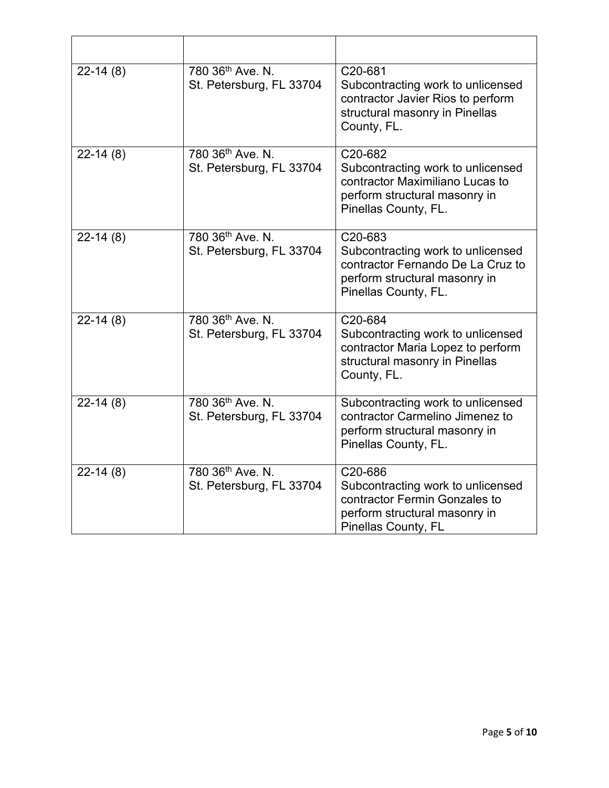| $22-14(8)$ | 780 36th Ave. N.<br>St. Petersburg, FL 33704             | C20-681<br>Subcontracting work to unlicensed<br>contractor Javier Rios to perform<br>structural masonry in Pinellas<br>County, FL.         |
|------------|----------------------------------------------------------|--------------------------------------------------------------------------------------------------------------------------------------------|
| $22-14(8)$ | 780 36th Ave. N.<br>St. Petersburg, FL 33704             | C20-682<br>Subcontracting work to unlicensed<br>contractor Maximiliano Lucas to<br>perform structural masonry in<br>Pinellas County, FL.   |
| $22-14(8)$ | 780 36th Ave. N.<br>St. Petersburg, FL 33704             | C20-683<br>Subcontracting work to unlicensed<br>contractor Fernando De La Cruz to<br>perform structural masonry in<br>Pinellas County, FL. |
| $22-14(8)$ | 780 36th Ave. N.<br>St. Petersburg, FL 33704             | C20-684<br>Subcontracting work to unlicensed<br>contractor Maria Lopez to perform<br>structural masonry in Pinellas<br>County, FL.         |
| $22-14(8)$ | 780 36 <sup>th</sup> Ave. N.<br>St. Petersburg, FL 33704 | Subcontracting work to unlicensed<br>contractor Carmelino Jimenez to<br>perform structural masonry in<br>Pinellas County, FL.              |
| $22-14(8)$ | 780 36th Ave. N.<br>St. Petersburg, FL 33704             | C20-686<br>Subcontracting work to unlicensed<br>contractor Fermin Gonzales to<br>perform structural masonry in<br>Pinellas County, FL      |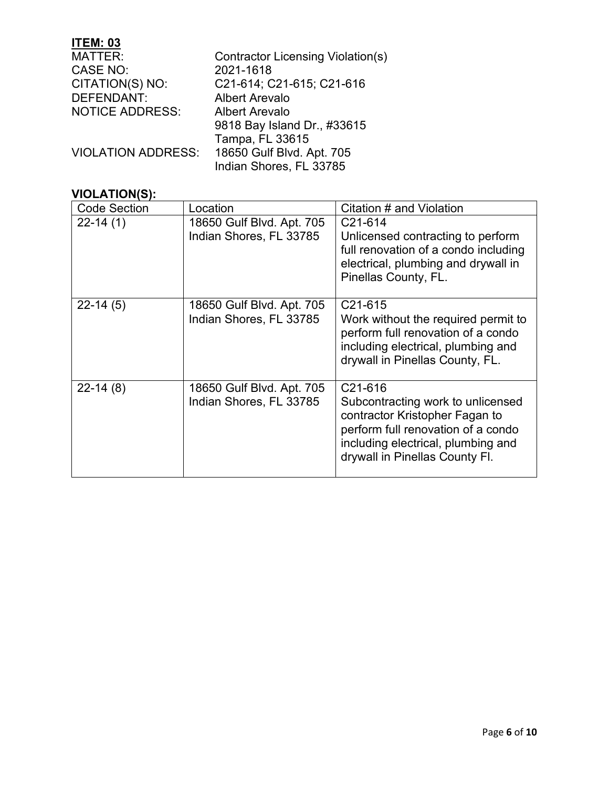| <b>Contractor Licensing Violation(s)</b>               |
|--------------------------------------------------------|
| 2021-1618                                              |
| C21-614; C21-615; C21-616                              |
| <b>Albert Arevalo</b>                                  |
| <b>Albert Arevalo</b>                                  |
| 9818 Bay Island Dr., #33615                            |
| Tampa, FL 33615                                        |
| 18650 Gulf Blvd. Apt. 705<br><b>VIOLATION ADDRESS:</b> |
| Indian Shores, FL 33785                                |
|                                                        |

| <b>Code Section</b> | Location                                             | Citation # and Violation                                                                                                                                                                                  |
|---------------------|------------------------------------------------------|-----------------------------------------------------------------------------------------------------------------------------------------------------------------------------------------------------------|
| $22 - 14(1)$        | 18650 Gulf Blvd. Apt. 705<br>Indian Shores, FL 33785 | C <sub>21</sub> -614<br>Unlicensed contracting to perform<br>full renovation of a condo including<br>electrical, plumbing and drywall in<br>Pinellas County, FL.                                          |
| $22-14(5)$          | 18650 Gulf Blvd. Apt. 705<br>Indian Shores, FL 33785 | C <sub>21</sub> -615<br>Work without the required permit to<br>perform full renovation of a condo<br>including electrical, plumbing and<br>drywall in Pinellas County, FL.                                |
| $22-14(8)$          | 18650 Gulf Blvd. Apt. 705<br>Indian Shores, FL 33785 | C <sub>21</sub> -616<br>Subcontracting work to unlicensed<br>contractor Kristopher Fagan to<br>perform full renovation of a condo<br>including electrical, plumbing and<br>drywall in Pinellas County Fl. |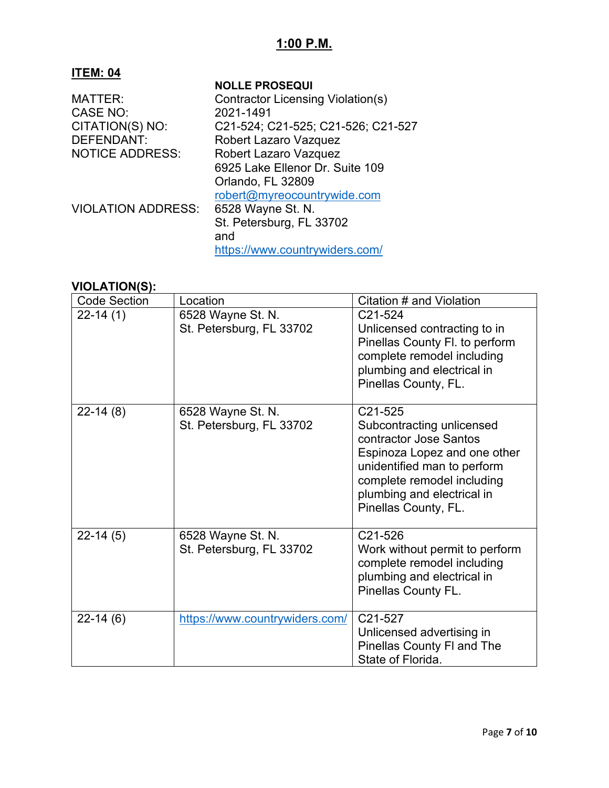# **1:00 P.M.**

## **ITEM: 04**

|                           | <b>NOLLE PROSEQUI</b>              |
|---------------------------|------------------------------------|
| MATTER:                   | Contractor Licensing Violation(s)  |
| <b>CASE NO:</b>           | 2021-1491                          |
| CITATION(S) NO:           | C21-524; C21-525; C21-526; C21-527 |
| <b>DEFENDANT:</b>         | Robert Lazaro Vazquez              |
| <b>NOTICE ADDRESS:</b>    | <b>Robert Lazaro Vazquez</b>       |
|                           | 6925 Lake Ellenor Dr. Suite 109    |
|                           | Orlando, FL 32809                  |
|                           | robert@myreocountrywide.com        |
| <b>VIOLATION ADDRESS:</b> | 6528 Wayne St. N.                  |
|                           | St. Petersburg, FL 33702           |
|                           | and                                |
|                           | https://www.countrywiders.com/     |
|                           |                                    |

| <b>Code Section</b> | Location                                      | Citation # and Violation                                                                                                                                                                                          |
|---------------------|-----------------------------------------------|-------------------------------------------------------------------------------------------------------------------------------------------------------------------------------------------------------------------|
| $22-14(1)$          | 6528 Wayne St. N.<br>St. Petersburg, FL 33702 | C21-524<br>Unlicensed contracting to in<br>Pinellas County Fl. to perform<br>complete remodel including<br>plumbing and electrical in<br>Pinellas County, FL.                                                     |
| $22-14(8)$          | 6528 Wayne St. N.<br>St. Petersburg, FL 33702 | C21-525<br>Subcontracting unlicensed<br>contractor Jose Santos<br>Espinoza Lopez and one other<br>unidentified man to perform<br>complete remodel including<br>plumbing and electrical in<br>Pinellas County, FL. |
| $22-14(5)$          | 6528 Wayne St. N.<br>St. Petersburg, FL 33702 | C <sub>21</sub> -526<br>Work without permit to perform<br>complete remodel including<br>plumbing and electrical in<br>Pinellas County FL.                                                                         |
| $22-14(6)$          | https://www.countrywiders.com/                | C21-527<br>Unlicensed advertising in<br><b>Pinellas County FI and The</b><br>State of Florida.                                                                                                                    |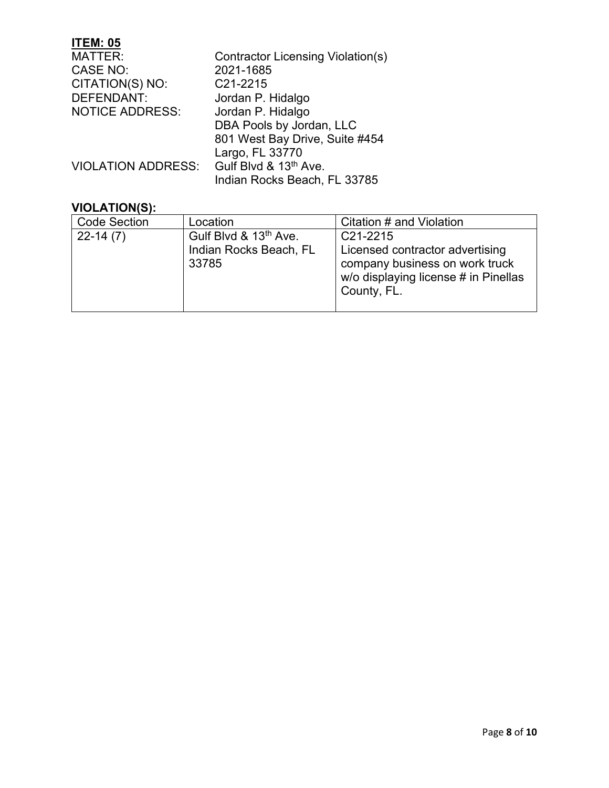| Contractor Licensing Violation(s) |
|-----------------------------------|
| 2021-1685                         |
| C21-2215                          |
| Jordan P. Hidalgo                 |
| Jordan P. Hidalgo                 |
| DBA Pools by Jordan, LLC          |
| 801 West Bay Drive, Suite #454    |
| Largo, FL 33770                   |
| Gulf Blvd & 13th Ave.             |
| Indian Rocks Beach, FL 33785      |
|                                   |

| <b>Code Section</b> | Location                                                             | Citation # and Violation                                                                                                |
|---------------------|----------------------------------------------------------------------|-------------------------------------------------------------------------------------------------------------------------|
| $22-14(7)$          | Gulf Blvd & 13 <sup>th</sup> Ave.<br>Indian Rocks Beach, FL<br>33785 | $C21-2215$<br>Licensed contractor advertising<br>company business on work truck<br>w/o displaying license # in Pinellas |
|                     |                                                                      | County, FL.                                                                                                             |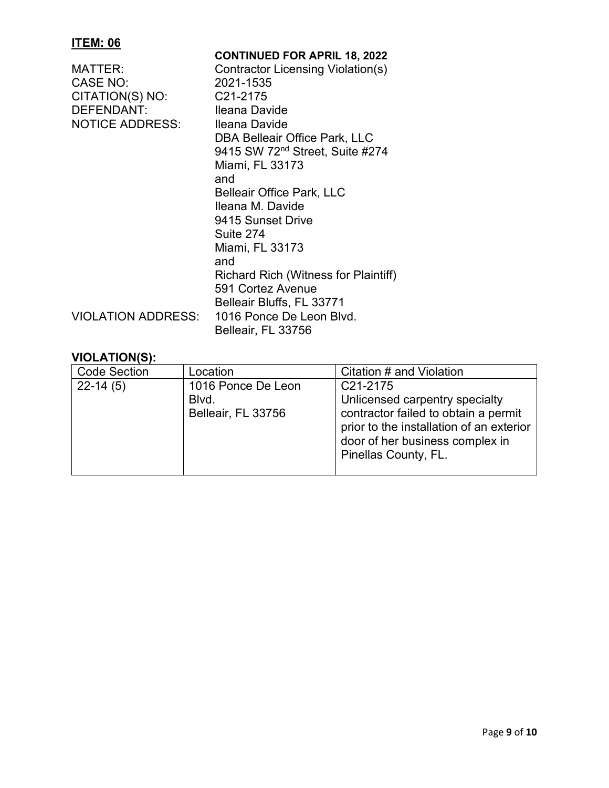| <b>CONTINUED FOR APRIL 18, 2022</b>         |
|---------------------------------------------|
| Contractor Licensing Violation(s)           |
| 2021-1535                                   |
| C21-2175                                    |
| Ileana Davide                               |
| Ileana Davide                               |
| DBA Belleair Office Park, LLC               |
| 9415 SW 72 <sup>nd</sup> Street, Suite #274 |
| Miami, FL 33173                             |
| and                                         |
| <b>Belleair Office Park, LLC</b>            |
| Ileana M. Davide                            |
| 9415 Sunset Drive                           |
| Suite 274                                   |
| Miami, FL 33173                             |
| and                                         |
| <b>Richard Rich (Witness for Plaintiff)</b> |
| 591 Cortez Avenue                           |
| Belleair Bluffs, FL 33771                   |
| 1016 Ponce De Leon Blvd.                    |
| Belleair, FL 33756                          |
|                                             |

| <b>Code Section</b> | Location                                          | Citation # and Violation                                                                                                                                                                               |
|---------------------|---------------------------------------------------|--------------------------------------------------------------------------------------------------------------------------------------------------------------------------------------------------------|
| $22-14(5)$          | 1016 Ponce De Leon<br>Blvd.<br>Belleair, FL 33756 | C <sub>21</sub> -2175<br>Unlicensed carpentry specialty<br>contractor failed to obtain a permit<br>prior to the installation of an exterior<br>door of her business complex in<br>Pinellas County, FL. |